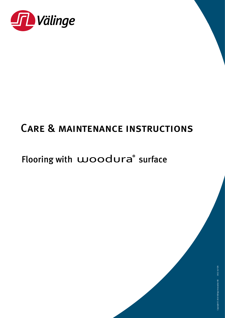

## Care & maintenance instructions

## Flooring with woodura® surface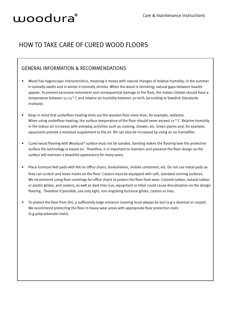### HOW TO TAKE CARE OF CURED WOOD FLOORS

#### GENERAL INFORMATION & RECOMMENDATIONS

- Wood has hygroscopic characteristics, meaning it moves with natural changes of relative humidity: in the summer it normally swells and in winter it normally shrinks. When the wood is shrinking, natural gaps between boards appear. To prevent excessive movement and consequential damage to the floor, the indoor climate should have a temperature between 15-23 ° C and relative air humidity between 30-60% (according to Swedish Standards Institute).
- Keep in mind that underfloor heating dries out the wooden floor more than, for example, radiators. When using underfloor heating, the surface temperature of the floor should never exceed 27  $\degree$  C. Relative humidity in the indoor air increases with everyday activities such as cooking, shower, etc. Green plants and, for example, aquariums provide a moisture supplement to the air. RH can also be increased by using an air humidifier.
- Cured wood flooring with Woodura® surface must not be sanded. Sanding makes the flooring lose the protective surface the technology is based on. Therefore, it is important to maintain and preserve the floor design so the surface will maintain a beautiful appearance for many years.
- Place furniture feet pads with felt on office chairs, bookshelves, mobile containers, etc. Do not use metal pads as they can scratch and leave marks on the floor. Castors must be equipped with soft, standard running surfaces. We recommend using floor coverings for office chairs to protect the floor from wear. Colored rubber, natural rubber or plastic glides, and castors, as well as dark tires (car, equipment or bike) could cause discoloration on the design flooring. Therefore if possible, use only light, non-migrating furniture glides, castors or tires.
- To protect the floor from dirt, a sufficiently large entrance covering must always be laid (e.g a doormat or carpet). We recommend protecting the floor in heavy-wear areas with appropriate floor protection mats (e.g polycarbonate mats).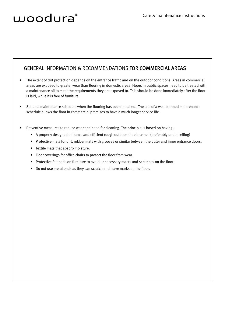#### GENERAL INFORMATION & RECOMMENDATIONS FOR COMMERCIAL AREAS

- The extent of dirt protection depends on the entrance traffic and on the outdoor conditions. Areas in commercial areas are exposed to greater wear than flooring in domestic areas. Floors in public spaces need to be treated with a maintenance oil to meet the requirements they are exposed to. This should be done immediately after the floor is laid, while it is free of furniture.
- Set up a maintenance schedule when the flooring has been installed. The use of a well-planned maintenance schedule allows the floor in commercial premises to have a much longer service life.
- Preventive measures to reduce wear and need for cleaning. The principle is based on having:
	- A properly designed entrance and efficient rough outdoor shoe brushes (preferably under ceiling)
	- Protective mats for dirt, rubber mats with grooves or similar between the outer and inner entrance doors.
	- Textile mats that absorb moisture.
	- Floor coverings for office chairs to protect the floor from wear.
	- Protective felt pads on furniture to avoid unnecessary marks and scratches on the floor.
	- Do not use metal pads as they can scratch and leave marks on the floor.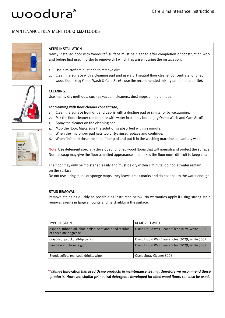#### MAINTENANCE TREATMENT FOR OILED FLOORS



#### AFTER INSTALLATION

Newly installed floor with Woodura® surface must be cleaned after completion of construction work and before first use, in order to remove dirt which has arisen during the installation.

- 1. Use a microfibre dust pad to remove dirt.
- 2. Clean the surface with a cleaning pad and use a pH neutral floor cleaner concentrate for oiled wood floors (e.g Osmo Wash & Care 8016 - use the recommended mixing ratio on the bottle).



#### CLEANING

Use mainly dry methods, such as vacuum cleaners, dust mops or micro mops.

#### For cleaning with floor cleaner concentrate;

- 1. Clean the surface from dirt and debris with a dusting pad or similar or by vacuuming.
- 2. Mix the floor cleaner concentrate with water in a spray bottle (e.g Osmo Wash and Care 8016).
- 3. Spray the cleaner on the cleaning pad.
- 4. Mop the floor. Make sure the solution is absorbed within 1 minute.
- 5. When the microfiber pad gets too dirty; rinse, replace and continue.
- 6. When finished; rinse the microfiber pad and put it in the washing machine on sanitary wash.

Note! Use detergent specially developed for oiled wood floors that will nourish and protect the surface. Normal soap may give the floor a matted appearance and makes the floor more difficult to keep clean.

The floor may only be moistened easily and must be dry within 1 minute, do not let water remain on the surface.

Do not use string mops or sponge mops, they leave streak marks and do not absorb the water enough.

#### STAIN REMOVAL

Remove stains as quickly as possible as instructed below. No warranties apply if using strong stain removal agents in large amounts and hard rubbing the surface.

| <b>TYPE OF STAIN</b>                                                                 | <b>REMOVED WITH</b>                            |
|--------------------------------------------------------------------------------------|------------------------------------------------|
| Asphalt, rubber, oil, shoe polish, soot and dried residue<br>of chocolate or grease. | Osmo Liquid Wax Cleaner Clear 3029, White 3087 |
| Crayons, lipstick, felt-tip pencil.                                                  | Osmo Liquid Wax Cleaner Clear 3029, White 3087 |
| Candle wax, chewing gum.                                                             | Osmo Liquid Wax Cleaner Clear 3029, White 3087 |
| Blood, coffee, tea, soda drinks, wine.                                               | Osmo Spray Cleaner 8026                        |

\* Välinge Innovation has used Osmo products in maintenance testing, therefore we recommend these products. However, similar pH neutral detergents developed for oiled wood floors can also be used.

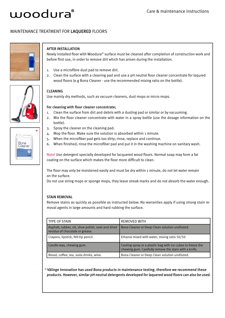#### MAINTENANCE TREATMENT FOR LAQUERED FLOORS



#### AFTER INSTALLATION

Newly installed floor with Woodura® surface must be cleaned after completion of construction work and before first use, in order to remove dirt which has arisen during the installation.

- 1. Use a microfibre dust pad to remove dirt.
- 2. Clean the surface with a cleaning pad and use a pH neutral floor cleaner concentrate for laqured wood floors (e.g Bona Cleaner - use the recommended mixing ratio on the bottle).



Bona Cleaner \*

#### CLEANING

Use mainly dry methods, such as vacuum cleaners, dust mops or micro mops.

#### For cleaning with floor cleaner concentrate;

- 1. Clean the surface from dirt and debris with a dusting pad or similar or by vacuuming.
- 2. Mix the floor cleaner concentrate with water in a spray bottle (use the dosage information on the bottle).
- 3. Spray the cleaner on the cleaning pad.
- 4. Mop the floor. Make sure the solution is absorbed within 1 minute.
- 5. When the microfiber pad gets too dirty; rinse, replace and continue.
- 6. When finished; rinse the microfiber pad and put it in the washing machine on sanitary wash.

Note! Use detergent specially developed for lacquered wood floors. Normal soap may form a fat coating on the surface which makes the floor more difficult to clean.

The floor may only be moistened easily and must be dry within 1 minute, do not let water remain on the surface.

Do not use string mops or sponge mops, they leave streak marks and do not absorb the water enough.

#### STAIN REMOVAL

Remove stains as quickly as possible as instructed below. No warranties apply if using strong stain removal agents in large amounts and hard rubbing the surface.

| <b>TYPE OF STAIN</b>                                                                 | <b>REMOVED WITH</b>                                                                                                  |
|--------------------------------------------------------------------------------------|----------------------------------------------------------------------------------------------------------------------|
| Asphalt, rubber, oil, shoe polish, soot and dried<br>residue of chocolate or grease. | Bona Cleaner or Deep Clean solution undiluted.                                                                       |
| Crayons, lipstick, felt-tip pencil.                                                  | Ethanol mixed with water, mixing ratio 50/50                                                                         |
| Candle wax, chewing gum.                                                             | Cooling spray or a plastic bag with ice cubes to freeze the<br>chewing gum. Carefully remove the stain with a knife. |
| Blood, coffee, tea, soda drinks, wine.                                               | Bona Cleaner or Deep Clean solution undiluted.                                                                       |

\* Välinge Innovation has used Bona products in maintenance testing, therefore we recommend these products. However, similar pH neutral detergents developed for laquered wood floors can also be used.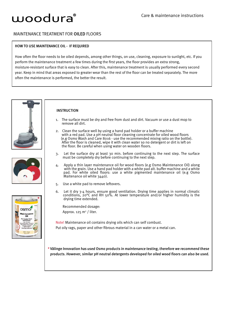#### MAINTENANCE TREATMENT FOR OILED FLOORS

#### HOW TO USE MAINTENANCE OIL - IF REQUIRED

How often the floor needs to be oiled depends, among other things, on use, cleaning, exposure to sunlight, etc. If you perform the maintenance treatment a few times during the first years, the floor provides an extra strong, moisture-resistant surface that is easy to clean. After this, maintenance treatment is usually performed every second year. Keep in mind that areas exposed to greater wear than the rest of the floor can be treated separately. The more often the maintenance is performed, the better the result.





#### INSTRUCTION

- 1. The surface must be dry and free from dust and dirt. Vacuum or use a dust mop to remove all dirt.
- 2. Clean the surface well by using a hand pad holder or a buffer machine with a red pad. Use a pH neutral floor cleaning concentrate for oiled wood floors (e.g Osmo Wash and Care 8016 - use the recommended mixing ratio on the bottle). After the floor is cleaned, wipe it with clean water so no detergent or dirt is left on the floor. Be careful when using water on wooden floors.
- 3. Let the surface dry at least 30 min. before continuing to the next step. The surface must be completely dry before continuing to the next step.
- 4. Apply a thin layer maintenance oil for wood floors (e.g Osmo Maintenance Oil) along with the grain. Use a hand pad holder with a white pad alt. buffer machine and a white pad. For white oiled floors: use a white pigmented maintenance oil (e.g Osmo Maitenance oil white 3440).
- 5. Use a white pad to remove leftovers.
- 6. Let it dry 3-4 hours, ensure good ventilation. Drying time applies in normal climatic conditions, 20°C and RH 50%. At lower temperature and/or higher humidity is the drying time extended.

 Recommended dosage: Approx.  $125 \text{ m}^2$  / liter.

Note! Maintenance oil contains drying oils which can self combust. Put oily rags, paper and other fibrous material in a can water or a metal can.

\* Välinge Innovation has used Osmo products in maintenance testing, therefore we recommend these products. However, similar pH neutral detergents developed for oiled wood floors can also be used.